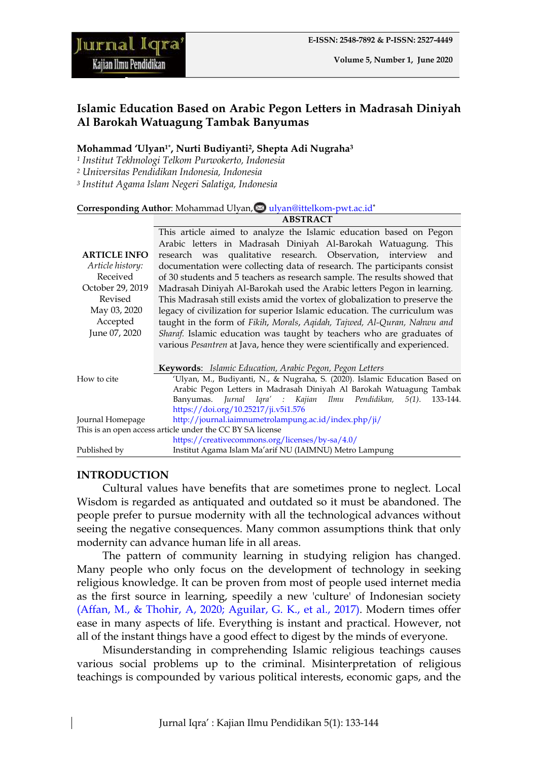**ABSTRACT**

#### **Mohammad 'Ulyan1\*, Nurti Budiyanti2, Shepta Adi Nugraha<sup>3</sup>**

- *<sup>1</sup> Institut Tekhnologi Telkom Purwokerto, Indonesia*
- *<sup>2</sup> Universitas Pendidikan Indonesia, Indonesia*
- *<sup>3</sup> Institut Agama Islam Negeri Salatiga, Indonesia*

#### Corresponding Author: Mohammad Ulyan, [ulyan@ittelkom-pwt.ac.id](mailto:ulyan@ittelkom-pwt.ac.id)\*

|                                                           | This article aimed to analyze the Islamic education based on Pegon          |
|-----------------------------------------------------------|-----------------------------------------------------------------------------|
|                                                           | Arabic letters in Madrasah Diniyah Al-Barokah Watuagung. This               |
| <b>ARTICLE INFO</b>                                       | research was qualitative research. Observation, interview<br>and            |
| Article history:                                          | documentation were collecting data of research. The participants consist    |
| Received                                                  | of 30 students and 5 teachers as research sample. The results showed that   |
| October 29, 2019                                          | Madrasah Diniyah Al-Barokah used the Arabic letters Pegon in learning.      |
| Revised                                                   | This Madrasah still exists amid the vortex of globalization to preserve the |
| May 03, 2020                                              | legacy of civilization for superior Islamic education. The curriculum was   |
| Accepted                                                  | taught in the form of Fikih, Morals, Aqidah, Tajwed, Al-Quran, Nahwu and    |
| June 07, 2020                                             | Sharaf. Islamic education was taught by teachers who are graduates of       |
|                                                           | various Pesantren at Java, hence they were scientifically and experienced.  |
|                                                           |                                                                             |
|                                                           | Keywords: Islamic Education, Arabic Pegon, Pegon Letters                    |
| How to cite                                               | 'Ulyan, M., Budiyanti, N., & Nugraha, S. (2020). Islamic Education Based on |
|                                                           | Arabic Pegon Letters in Madrasah Diniyah Al Barokah Watuagung Tambak        |
|                                                           | Banyumas. Jurnal Iqra' : Kajian Ilmu Pendidikan,<br>$5(1)$ .<br>133-144.    |
|                                                           | https://doi.org/10.25217/ji.v5i1.576                                        |
| Journal Homepage                                          | http://journal.iaimnumetrolampung.ac.id/index.php/ji/                       |
| This is an open access article under the CC BY SA license |                                                                             |
|                                                           | https://creativecommons.org/licenses/by-sa/4.0/                             |
| Published by                                              | Institut Agama Islam Ma'arif NU (IAIMNU) Metro Lampung                      |
|                                                           |                                                                             |

# **INTRODUCTION**

Cultural values have benefits that are sometimes prone to neglect. Local Wisdom is regarded as antiquated and outdated so it must be abandoned. The people prefer to pursue modernity with all the technological advances without seeing the negative consequences. Many common assumptions think that only modernity can advance human life in all areas.

The pattern of community learning in studying religion has changed. Many people who only focus on the development of technology in seeking religious knowledge. It can be proven from most of people used internet media as the first source in learning, speedily a new 'culture' of Indonesian society [\(Affan, M., & Thohir, A, 2020; Aguilar, G. K., et al., 2017\).](#page-7-0) Modern times offer ease in many aspects of life. Everything is instant and practical. However, not all of the instant things have a good effect to digest by the minds of everyone.

Misunderstanding in comprehending Islamic religious teachings causes various social problems up to the criminal. Misinterpretation of religious teachings is compounded by various political interests, economic gaps, and the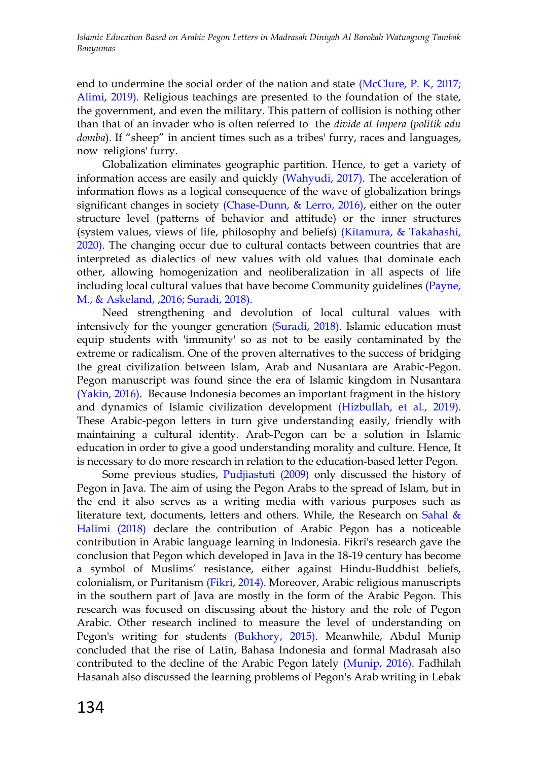end to undermine the social order of the nation and state (McClure, P. K, 2017; [Alimi, 2019\).](#page-7-0) Religious teachings are presented to the foundation of the state, the government, and even the military. This pattern of collision is nothing other than that of an invader who is often referred to the *divide at Impera* (*politik adu domba*). If "sheep" in ancient times such as a tribes' furry, races and languages, now religions' furry.

Globalization eliminates geographic partition. Hence, to get a variety of information access are easily and quickly [\(Wahyudi, 2017\).](#page-7-0) The acceleration of information flows as a logical consequence of the wave of globalization brings significant changes in society [\(Chase-Dunn, & Lerro, 2016\),](#page-7-0) either on the outer structure level (patterns of behavior and attitude) or the inner structures (system values, views of life, philosophy and beliefs) [\(Kitamura, & Takahashi,](#page-7-0) [2020\).](#page-7-0) The changing occur due to cultural contacts between countries that are interpreted as dialectics of new values with old values that dominate each other, allowing homogenization and neoliberalization in all aspects of life including local cultural values that have become Community guidelines [\(Payne,](#page-7-0)  [M., & Askeland,](#page-7-0) ,2016; Suradi, 2018).

Need strengthening and devolution of local cultural values with intensively for the younger generation [\(Suradi, 2018\).](#page-7-0) Islamic education must equip students with 'immunity' so as not to be easily contaminated by the extreme or radicalism. One of the proven alternatives to the success of bridging the great civilization between Islam, Arab and Nusantara are Arabic-Pegon. Pegon manuscript was found since the era of Islamic kingdom in Nusantara [\(Yakin, 2016\).](#page-7-0) Because Indonesia becomes an important fragment in the history and dynamics of Islamic civilization development [\(Hizbullah, et al., 2019\).](#page-7-0) These Arabic-pegon letters in turn give understanding easily, friendly with maintaining a cultural identity. Arab-Pegon can be a solution in Islamic education in order to give a good understanding morality and culture. Hence, It is necessary to do more research in relation to the education-based letter Pegon.

Some previous studies, [Pudjiastuti \(2009\)](#page-7-0) only discussed the history of Pegon in Java. The aim of using the Pegon Arabs to the spread of Islam, but in the end it also serves as a writing media with various purposes such as literature text, documents, letters and others. While, the Research on Sahal  $\&$ [Halimi \(2018\)](#page-7-0) declare the contribution of Arabic Pegon has a noticeable contribution in Arabic language learning in Indonesia. Fikri's research gave the conclusion that Pegon which developed in Java in the 18-19 century has become a symbol of Muslims" resistance, either against Hindu-Buddhist beliefs, colonialism, or Puritanism [\(Fikri, 2014\).](#page-7-0) Moreover, Arabic religious manuscripts in the southern part of Java are mostly in the form of the Arabic Pegon. This research was focused on discussing about the history and the role of Pegon Arabic. Other research inclined to measure the level of understanding on Pegon's writing for students [\(Bukhory, 2015\).](#page-7-0) Meanwhile, Abdul Munip concluded that the rise of Latin, Bahasa Indonesia and formal Madrasah also contributed to the decline of the Arabic Pegon lately [\(Munip, 2016\).](#page-7-0) Fadhilah Hasanah also discussed the learning problems of Pegon's Arab writing in Lebak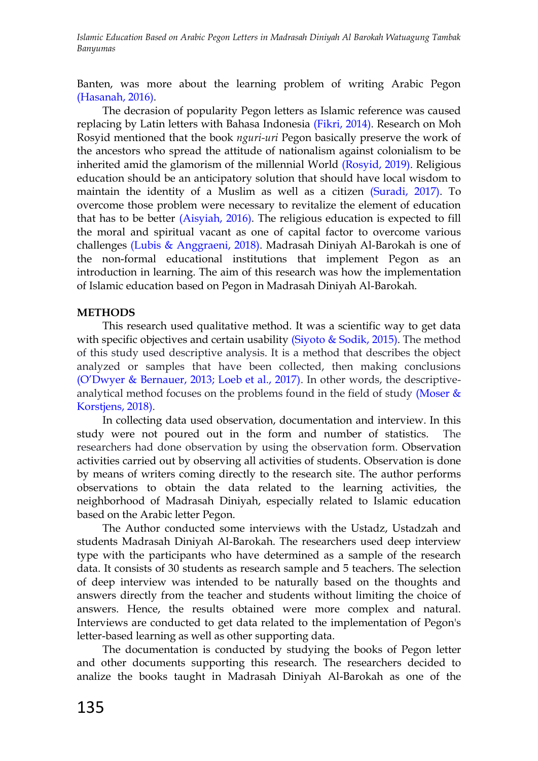Banten, was more about the learning problem of writing Arabic Pegon [\(Hasanah, 2016\).](#page-7-0)

The decrasion of popularity Pegon letters as Islamic reference was caused replacing by Latin letters with Bahasa Indonesia [\(Fikri, 2014\).](#page-7-0) Research on Moh Rosyid mentioned that the book *nguri-uri* Pegon basically preserve the work of the ancestors who spread the attitude of nationalism against colonialism to be inherited amid the glamorism of the millennial World [\(Rosyid, 2019\).](#page-7-0) Religious education should be an anticipatory solution that should have local wisdom to maintain the identity of a Muslim as well as a citizen [\(Suradi, 2017\).](#page-7-0) To overcome those problem were necessary to revitalize the element of education that has to be better [\(Aisyiah, 2016\).](#page-7-0) The religious education is expected to fill the moral and spiritual vacant as one of capital factor to overcome various challenges [\(Lubis & Anggraeni, 2018\).](#page-7-0) Madrasah Diniyah Al-Barokah is one of the non-formal educational institutions that implement Pegon as an introduction in learning. The aim of this research was how the implementation of Islamic education based on Pegon in Madrasah Diniyah Al-Barokah.

#### **METHODS**

This research used qualitative method. It was a scientific way to get data with specific objectives and certain usability (Siyoto  $&$  Sodik, 2015). The method of this study used descriptive analysis. It is a method that describes the object analyzed or samples that have been collected, then making conclusions [\(O"Dwyer & Bernauer, 2013; Loeb et al., 2017\)](#page-7-0). In other words, the descriptiveanalytical method focuses on the problems found in the field of study (Moser  $\&$ [Korstjens, 2018\).](#page-7-0)

In collecting data used observation, documentation and interview. In this study were not poured out in the form and number of statistics. The researchers had done observation by using the observation form. Observation activities carried out by observing all activities of students. Observation is done by means of writers coming directly to the research site. The author performs observations to obtain the data related to the learning activities, the neighborhood of Madrasah Diniyah, especially related to Islamic education based on the Arabic letter Pegon.

The Author conducted some interviews with the Ustadz, Ustadzah and students Madrasah Diniyah Al-Barokah. The researchers used deep interview type with the participants who have determined as a sample of the research data. It consists of 30 students as research sample and 5 teachers. The selection of deep interview was intended to be naturally based on the thoughts and answers directly from the teacher and students without limiting the choice of answers. Hence, the results obtained were more complex and natural. Interviews are conducted to get data related to the implementation of Pegon's letter-based learning as well as other supporting data.

The documentation is conducted by studying the books of Pegon letter and other documents supporting this research. The researchers decided to analize the books taught in Madrasah Diniyah Al-Barokah as one of the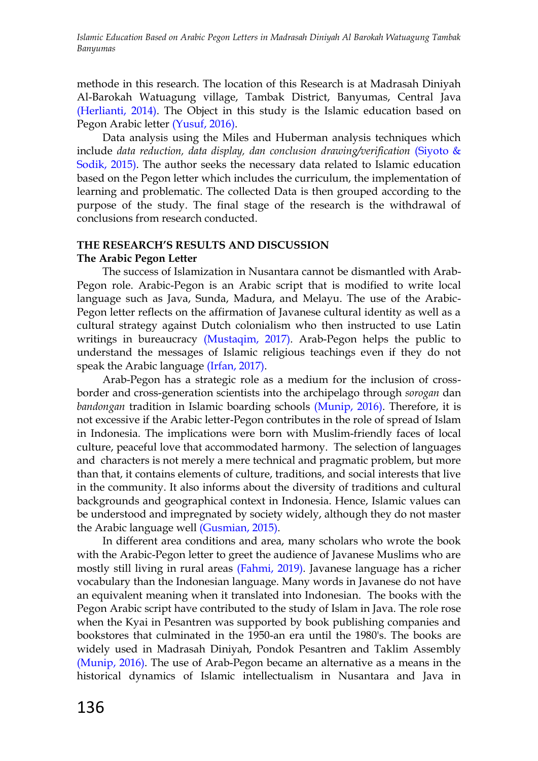methode in this research. The location of this Research is at Madrasah Diniyah Al-Barokah Watuagung village, Tambak District, Banyumas, Central Java [\(Herlianti, 2014\).](#page-7-0) The Object in this study is the Islamic education based on Pegon Arabic letter [\(Yusuf, 2016\).](#page-7-0)

Data analysis using the Miles and Huberman analysis techniques which include *data reduction, data display, dan conclusion drawing/verification* [\(Siyoto &](#page-7-0)  Sodik, 2015). The author seeks the necessary data related to Islamic education based on the Pegon letter which includes the curriculum, the implementation of learning and problematic. The collected Data is then grouped according to the purpose of the study. The final stage of the research is the withdrawal of conclusions from research conducted.

# **THE RESEARCH'S RESULTS AND DISCUSSION The Arabic Pegon Letter**

The success of Islamization in Nusantara cannot be dismantled with Arab-Pegon role. Arabic-Pegon is an Arabic script that is modified to write local language such as Java, Sunda, Madura, and Melayu. The use of the Arabic-Pegon letter reflects on the affirmation of Javanese cultural identity as well as a cultural strategy against Dutch colonialism who then instructed to use Latin writings in bureaucracy [\(Mustaqim, 2017\).](#page-7-0) Arab-Pegon helps the public to understand the messages of Islamic religious teachings even if they do not speak the Arabic language [\(Irfan, 2017\).](#page-7-0)

Arab-Pegon has a strategic role as a medium for the inclusion of crossborder and cross-generation scientists into the archipelago through *sorogan* dan *bandongan* tradition in Islamic boarding schools [\(Munip, 2016\).](#page-7-0) Therefore, it is not excessive if the Arabic letter-Pegon contributes in the role of spread of Islam in Indonesia. The implications were born with Muslim-friendly faces of local culture, peaceful love that accommodated harmony. The selection of languages and characters is not merely a mere technical and pragmatic problem, but more than that, it contains elements of culture, traditions, and social interests that live in the community. It also informs about the diversity of traditions and cultural backgrounds and geographical context in Indonesia. Hence, Islamic values can be understood and impregnated by society widely, although they do not master the Arabic language well [\(Gusmian, 2015\).](#page-7-0)

In different area conditions and area, many scholars who wrote the book with the Arabic-Pegon letter to greet the audience of Javanese Muslims who are mostly still living in rural areas [\(Fahmi, 2019\).](#page-7-0) Javanese language has a richer vocabulary than the Indonesian language. Many words in Javanese do not have an equivalent meaning when it translated into Indonesian. The books with the Pegon Arabic script have contributed to the study of Islam in Java. The role rose when the Kyai in Pesantren was supported by book publishing companies and bookstores that culminated in the 1950-an era until the 1980's. The books are widely used in Madrasah Diniyah, Pondok Pesantren and Taklim Assembly [\(Munip, 2016\).](#page-7-0) The use of Arab-Pegon became an alternative as a means in the historical dynamics of Islamic intellectualism in Nusantara and Java in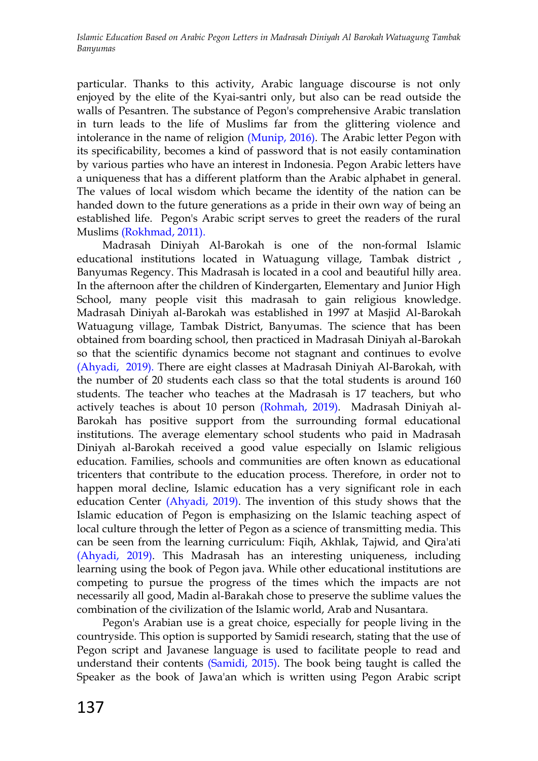particular. Thanks to this activity, Arabic language discourse is not only enjoyed by the elite of the Kyai-santri only, but also can be read outside the walls of Pesantren. The substance of Pegon's comprehensive Arabic translation in turn leads to the life of Muslims far from the glittering violence and intolerance in the name of religion [\(Munip, 2016\).](#page-7-0) The Arabic letter Pegon with its specificability, becomes a kind of password that is not easily contamination by various parties who have an interest in Indonesia. Pegon Arabic letters have a uniqueness that has a different platform than the Arabic alphabet in general. The values of local wisdom which became the identity of the nation can be handed down to the future generations as a pride in their own way of being an established life. Pegon's Arabic script serves to greet the readers of the rural Muslims [\(Rokhmad, 2011\).](#page-7-0)

Madrasah Diniyah Al-Barokah is one of the non-formal Islamic educational institutions located in Watuagung village, Tambak district , Banyumas Regency. This Madrasah is located in a cool and beautiful hilly area. In the afternoon after the children of Kindergarten, Elementary and Junior High School, many people visit this madrasah to gain religious knowledge. Madrasah Diniyah al-Barokah was established in 1997 at Masjid Al-Barokah Watuagung village, Tambak District, Banyumas. The science that has been obtained from boarding school, then practiced in Madrasah Diniyah al-Barokah so that the scientific dynamics become not stagnant and continues to evolve [\(Ahyadi, 2019\).](#page-7-0) There are eight classes at Madrasah Diniyah Al-Barokah, with the number of 20 students each class so that the total students is around 160 students. The teacher who teaches at the Madrasah is 17 teachers, but who actively teaches is about 10 person [\(Rohmah,](#page-7-0) 2019). Madrasah Diniyah al-Barokah has positive support from the surrounding formal educational institutions. The average elementary school students who paid in Madrasah Diniyah al-Barokah received a good value especially on Islamic religious education. Families, schools and communities are often known as educational tricenters that contribute to the education process. Therefore, in order not to happen moral decline, Islamic education has a very significant role in each education Center [\(Ahyadi,](#page-7-0) 2019). The invention of this study shows that the Islamic education of Pegon is emphasizing on the Islamic teaching aspect of local culture through the letter of Pegon as a science of transmitting media. This can be seen from the learning curriculum: Fiqih, Akhlak, Tajwid, and Qira'ati [\(Ahyadi, 2019\).](#page-7-0) This Madrasah has an interesting uniqueness, including learning using the book of Pegon java. While other educational institutions are competing to pursue the progress of the times which the impacts are not necessarily all good, Madin al-Barakah chose to preserve the sublime values the combination of the civilization of the Islamic world, Arab and Nusantara.

Pegon's Arabian use is a great choice, especially for people living in the countryside. This option is supported by Samidi research, stating that the use of Pegon script and Javanese language is used to facilitate people to read and understand their contents [\(Samidi, 2015\).](#page-7-0) The book being taught is called the Speaker as the book of Jawa'an which is written using Pegon Arabic script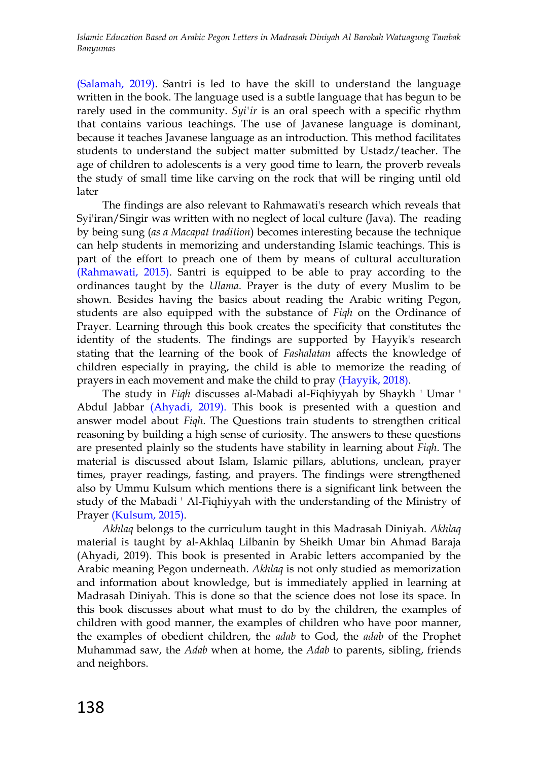[\(Salamah, 2019\).](#page-7-0) Santri is led to have the skill to understand the language written in the book. The language used is a subtle language that has begun to be rarely used in the community. *Syi'ir* is an oral speech with a specific rhythm that contains various teachings. The use of Javanese language is dominant, because it teaches Javanese language as an introduction. This method facilitates students to understand the subject matter submitted by Ustadz/teacher. The age of children to adolescents is a very good time to learn, the proverb reveals the study of small time like carving on the rock that will be ringing until old later

The findings are also relevant to Rahmawati's research which reveals that Syi'iran/Singir was written with no neglect of local culture (Java). The reading by being sung (*as a Macapat tradition*) becomes interesting because the technique can help students in memorizing and understanding Islamic teachings. This is part of the effort to preach one of them by means of cultural acculturation [\(Rahmawati, 2015\).](#page-7-0) Santri is equipped to be able to pray according to the ordinances taught by the *Ulama*. Prayer is the duty of every Muslim to be shown. Besides having the basics about reading the Arabic writing Pegon, students are also equipped with the substance of *Fiqh* on the Ordinance of Prayer. Learning through this book creates the specificity that constitutes the identity of the students. The findings are supported by Hayyik's research stating that the learning of the book of *Fashalatan* affects the knowledge of children especially in praying, the child is able to memorize the reading of prayers in each movement and make the child to pray [\(Hayyik, 2018\).](#page-7-0)

The study in *Fiqh* discusses al-Mabadi al-Fiqhiyyah by Shaykh ' Umar ' Abdul Jabbar [\(Ahyadi, 2019\).](#page-7-0) This book is presented with a question and answer model about *Fiqh*. The Questions train students to strengthen critical reasoning by building a high sense of curiosity. The answers to these questions are presented plainly so the students have stability in learning about *Fiqh*. The material is discussed about Islam, Islamic pillars, ablutions, unclean, prayer times, prayer readings, fasting, and prayers. The findings were strengthened also by Ummu Kulsum which mentions there is a significant link between the study of the Mabadi ' Al-Fiqhiyyah with the understanding of the Ministry of Prayer [\(Kulsum, 2015\).](#page-7-0)

*Akhlaq* belongs to the curriculum taught in this Madrasah Diniyah. *Akhlaq* material is taught by al-Akhlaq Lilbanin by Sheikh Umar bin Ahmad Baraja (Ahyadi, 2019). This book is presented in Arabic letters accompanied by the Arabic meaning Pegon underneath. *Akhlaq* is not only studied as memorization and information about knowledge, but is immediately applied in learning at Madrasah Diniyah. This is done so that the science does not lose its space. In this book discusses about what must to do by the children, the examples of children with good manner, the examples of children who have poor manner, the examples of obedient children, the *adab* to God, the *adab* of the Prophet Muhammad saw, the *Adab* when at home, the *Adab* to parents, sibling, friends and neighbors.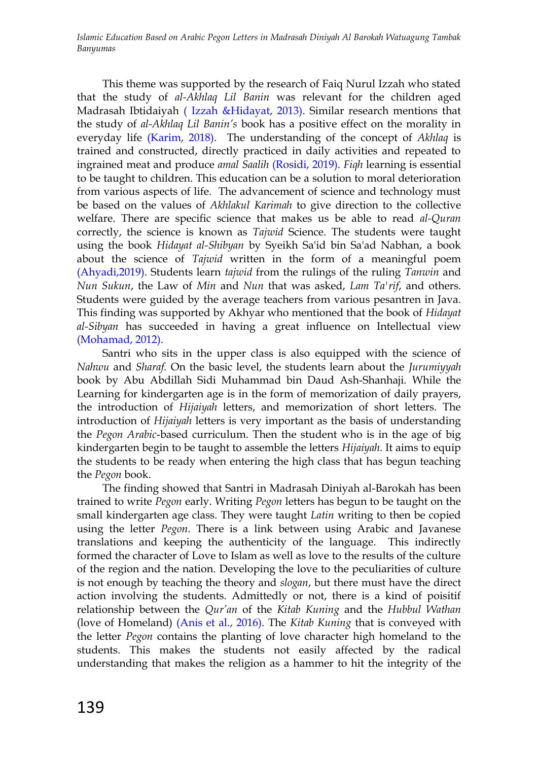This theme was supported by the research of Faiq Nurul Izzah who stated that the study of *al-Akhlaq Lil Banin* was relevant for the children aged Madrasah Ibtidaiyah [\( Izzah &Hidayat, 2013\).](#page-7-0) Similar research mentions that the study of *al-Akhlaq Lil Banin's* book has a positive effect on the morality in everyday life [\(Karim, 2018\).](#page-7-0) The understanding of the concept of *Akhlaq* is trained and constructed, directly practiced in daily activities and repeated to ingrained meat and produce *amal Saalih* [\(Rosidi, 2019\).](#page-7-0) *Fiqh* learning is essential to be taught to children. This education can be a solution to moral deterioration from various aspects of life. The advancement of science and technology must be based on the values of *Akhlakul Karimah* to give direction to the collective welfare. There are specific science that makes us be able to read *al-Quran* correctly, the science is known as *Tajwid* Science. The students were taught using the book *Hidayat al-Shibyan* by Syeikh Sa'id bin Sa'ad Nabhan, a book about the science of *Tajwid* written in the form of a meaningful poem [\(Ahyadi,2019\).](#page-7-0) Students learn *tajwid* from the rulings of the ruling *Tanwin* and *Nun Sukun*, the Law of *Min* and *Nun* that was asked, *Lam Ta'rif*, and others. Students were guided by the average teachers from various pesantren in Java. This finding was supported by Akhyar who mentioned that the book of *Hidayat al-Sibyan* has succeeded in having a great influence on Intellectual view [\(Mohamad, 2012\).](#page-7-0)

Santri who sits in the upper class is also equipped with the science of *Nahwu* and *Sharaf.* On the basic level, the students learn about the *Jurumiyyah* book by Abu Abdillah Sidi Muhammad bin Daud Ash-Shanhaji. While the Learning for kindergarten age is in the form of memorization of daily prayers, the introduction of *Hijaiyah* letters, and memorization of short letters. The introduction of *Hijaiyah* letters is very important as the basis of understanding the *Pegon Arabic*-based curriculum. Then the student who is in the age of big kindergarten begin to be taught to assemble the letters *Hijaiyah*. It aims to equip the students to be ready when entering the high class that has begun teaching the *Pegon* book.

The finding showed that Santri in Madrasah Diniyah al-Barokah has been trained to write *Pegon* early. Writing *Pegon* letters has begun to be taught on the small kindergarten age class. They were taught *Latin* writing to then be copied using the letter *Pegon*. There is a link between using Arabic and Javanese translations and keeping the authenticity of the language. This indirectly formed the character of Love to Islam as well as love to the results of the culture of the region and the nation. Developing the love to the peculiarities of culture is not enough by teaching the theory and *slogan*, but there must have the direct action involving the students. Admittedly or not, there is a kind of poisitif relationship between the *Qur'an* of the *Kitab Kuning* and the *Hubbul Wathan*  (love of Homeland) [\(Anis et al., 2016\).](#page-7-0) The *Kitab Kuning* that is conveyed with the letter *Pegon* contains the planting of love character high homeland to the students. This makes the students not easily affected by the radical understanding that makes the religion as a hammer to hit the integrity of the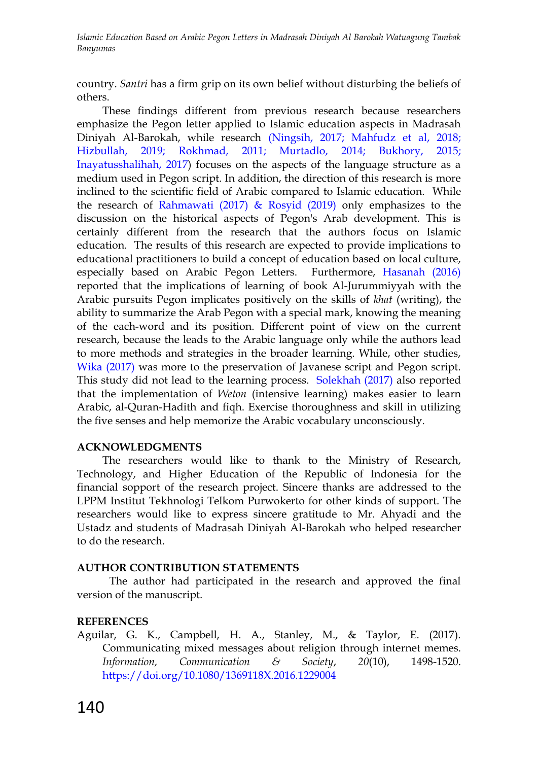country. *Santri* has a firm grip on its own belief without disturbing the beliefs of others.

These findings different from previous research because researchers emphasize the Pegon letter applied to Islamic education aspects in Madrasah Diniyah Al-Barokah, while research [\(Ningsih, 2017; Mahfudz](#page-7-0) et al, 2018; [Hizbullah, 2019; Rokhmad, 2011; Murtadlo, 2014; Bukhory, 2015;](#page-7-0)  [Inayatusshalihah, 2017\)](#page-7-0) focuses on the aspects of the language structure as a medium used in Pegon script. In addition, the direction of this research is more inclined to the scientific field of Arabic compared to Islamic education. While the research of Rahmawati (2017)  $\&$  Rosyid (2019) only emphasizes to the discussion on the historical aspects of Pegon's Arab development. This is certainly different from the research that the authors focus on Islamic education. The results of this research are expected to provide implications to educational practitioners to build a concept of education based on local culture, especially based on Arabic Pegon Letters. Furthermore, [Hasanah](#page-7-0) (2016) reported that the implications of learning of book Al-Jurummiyyah with the Arabic pursuits Pegon implicates positively on the skills of *khat* (writing), the ability to summarize the Arab Pegon with a special mark, knowing the meaning of the each-word and its position. Different point of view on the current research, because the leads to the Arabic language only while the authors lead to more methods and strategies in the broader learning. While, other studies, [Wika \(2017\)](#page-7-0) was more to the preservation of Javanese script and Pegon script. This study did not lead to the learning process. [Solekhah \(2017\)](#page-7-0) also reported that the implementation of *Weton* (intensive learning) makes easier to learn Arabic, al-Quran-Hadith and fiqh. Exercise thoroughness and skill in utilizing the five senses and help memorize the Arabic vocabulary unconsciously.

# **ACKNOWLEDGMENTS**

The researchers would like to thank to the Ministry of Research, Technology, and Higher Education of the Republic of Indonesia for the financial sopport of the research project. Sincere thanks are addressed to the LPPM Institut Tekhnologi Telkom Purwokerto for other kinds of support. The researchers would like to express sincere gratitude to Mr. Ahyadi and the Ustadz and students of Madrasah Diniyah Al-Barokah who helped researcher to do the research.

# **AUTHOR CONTRIBUTION STATEMENTS**

The author had participated in the research and approved the final version of the manuscript.

# <span id="page-7-0"></span>**REFERENCES**

Aguilar, G. K., Campbell, H. A., Stanley, M., & Taylor, E. (2017). Communicating mixed messages about religion through internet memes. *Information, Communication & Society*, *20*(10), 1498-1520. <https://doi.org/10.1080/1369118X.2016.1229004>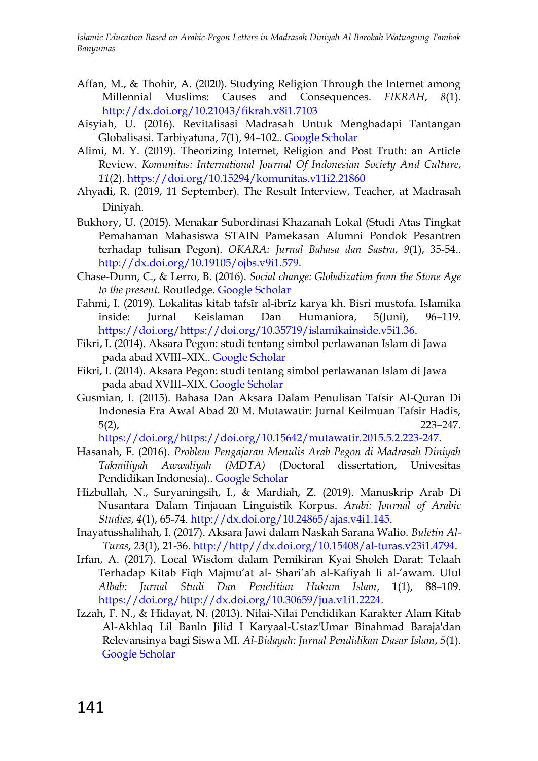- Affan, M., & Thohir, A. (2020). Studying Religion Through the Internet among Millennial Muslims: Causes and Consequences. *FIKRAH*, *8*(1). <http://dx.doi.org/10.21043/fikrah.v8i1.7103>
- Aisyiah, U. (2016). Revitalisasi Madrasah Untuk Menghadapi Tantangan Globalisasi. Tarbiyatuna, 7(1), 94–102.. [Google Scholar](http://journal.ummgl.ac.id/index.php/tarbiyatuna/article/view/262)
- Alimi, M. Y. (2019). Theorizing Internet, Religion and Post Truth: an Article Review. *Komunitas: International Journal Of Indonesian Society And Culture*, *11*(2).<https://doi.org/10.15294/komunitas.v11i2.21860>
- Ahyadi, R. (2019, 11 September). The Result Interview, Teacher, at Madrasah Diniyah.
- Bukhory, U. (2015). Menakar Subordinasi Khazanah Lokal (Studi Atas Tingkat Pemahaman Mahasiswa STAIN Pamekasan Alumni Pondok Pesantren terhadap tulisan Pegon). *OKARA: Jurnal Bahasa dan Sastra*, *9*(1), 35-54.. [http://dx.doi.org/10.19105/ojbs.v9i1.579.](http://dx.doi.org/10.19105/ojbs.v9i1.579)
- Chase-Dunn, C., & Lerro, B. (2016). *Social change: Globalization from the Stone Age to the present*. Routledge. [Google Scholar](https://books.google.co.id/books?hl=en&lr=&id=v_1YCwAAQBAJ&oi=fnd&pg=PP1&dq=globalization+changes+in+society&ots=nivMPOf_87&sig=IkOImScyxgBWsWEqe3VXrWmh9NA&redir_esc=y#v=onepage&q=globalization%20changes%20in%20society&f=false)
- Fahmi, I. (2019). Lokalitas kitab tafsīr al-ibrīz karya kh. Bisri mustofa. Islamika inside: Jurnal Keislaman Dan Humaniora, 5(Juni), 96–119. [https://doi.org/https://doi.org/10.35719/islamikainside.v5i1.36.](https://doi.org/https:/doi.org/10.35719/islamikainside.v5i1.36)
- Fikri, I. (2014). Aksara Pegon: studi tentang simbol perlawanan Islam di Jawa pada abad XVIII–XIX.. [Google Scholar](http://eprints.walisongo.ac.id/3829/)
- Fikri, I. (2014). Aksara Pegon: studi tentang simbol perlawanan Islam di Jawa pada abad XVIII–XIX. [Google Scholar](https://books.google.co.id/books?id=I8jyjgEACAAJ&dq=Pegon+Script&hl=en&sa=X&ved=0ahUKEwjmzYqjvOTpAhUScCsKHX5jDv8Q6AEIOTAC)
- Gusmian, I. (2015). Bahasa Dan Aksara Dalam Penulisan Tafsir Al-Quran Di Indonesia Era Awal Abad 20 M. Mutawatir: Jurnal Keilmuan Tafsir Hadis, 5(2), 223–247.

[https://doi.org/https://doi.org/10.15642/mutawatir.2015.5.2.223-247.](https://doi.org/https:/doi.org/10.15642/mutawatir.2015.5.2.223-247)

- Hasanah, F. (2016). *Problem Pengajaran Menulis Arab Pegon di Madrasah Diniyah Takmiliyah Awwaliyah (MDTA)* (Doctoral dissertation, Univesitas Pendidikan Indonesia).. [Google Scholar](http://eprints.binadarma.ac.id/3636/)
- Hizbullah, N., Suryaningsih, I., & Mardiah, Z. (2019). Manuskrip Arab Di Nusantara Dalam Tinjauan Linguistik Korpus. *Arabi: Journal of Arabic Studies*, *4*(1), 65-74. [http://dx.doi.org/10.24865/ajas.v4i1.145.](http://dx.doi.org/10.24865/ajas.v4i1.145)
- Inayatusshalihah, I. (2017). Aksara Jawi dalam Naskah Sarana Walio. *Buletin Al-Turas*, *23*(1), 21-36. [http://http//dx.doi.org/10.15408/al-turas.v23i1.4794.](http://http/dx.doi.org/10.15408/al-turas.v23i1.4794)
- Irfan, A. (2017). Local Wisdom dalam Pemikiran Kyai Sholeh Darat: Telaah Terhadap Kitab Fiqh Majmu"at al- Shari"ah al-Kafiyah li al-"awam. Ulul *Albab: Jurnal Studi Dan Penelitian Hukum Islam*, 1(1), 88–109. [https://doi.org/http://dx.doi.org/10.30659/jua.v1i1.2224.](https://doi.org/http:/dx.doi.org/10.30659/jua.v1i1.2224)
- Izzah, F. N., & Hidayat, N. (2013). Nilai-Nilai Pendidikan Karakter Alam Kitab Al-Akhlaq Lil Banln Jilid I Karyaal-Ustaz'Umar Binahmad Baraja'dan Relevansinya bagi Siswa MI. *Al-Bidayah: Jurnal Pendidikan Dasar Islam*, *5*(1). [Google Scholar](http://jurnal.albidayah.id/index.php/home/article/view/58)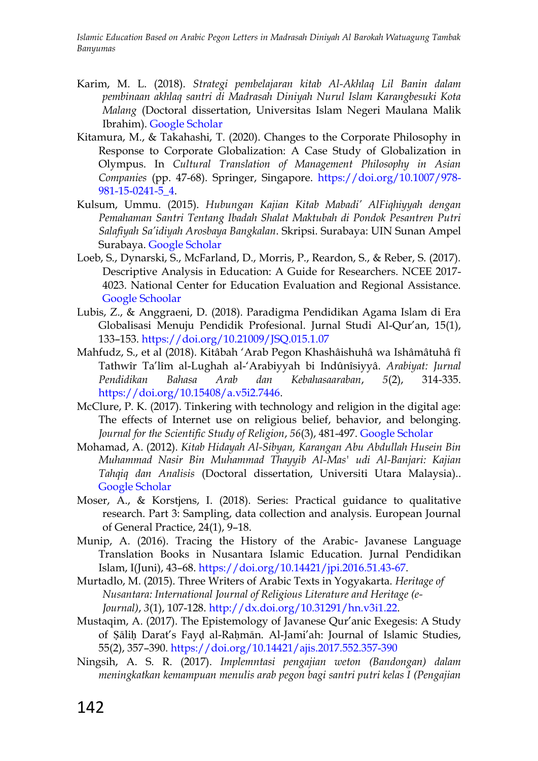- Karim, M. L. (2018). *Strategi pembelajaran kitab Al-Akhlaq Lil Banin dalam pembinaan akhlaq santri di Madrasah Diniyah Nurul Islam Karangbesuki Kota Malang* (Doctoral dissertation, Universitas Islam Negeri Maulana Malik Ibrahim). [Google Scholar](http://etheses.uin-malang.ac.id/13338/)
- Kitamura, M., & Takahashi, T. (2020). Changes to the Corporate Philosophy in Response to Corporate Globalization: A Case Study of Globalization in Olympus. In *Cultural Translation of Management Philosophy in Asian Companies* (pp. 47-68). Springer, Singapore. [https://doi.org/10.1007/978-](https://doi.org/10.1007/978-981-15-0241-5_4) [981-15-0241-5\\_4.](https://doi.org/10.1007/978-981-15-0241-5_4)
- Kulsum, Ummu. (2015). *Hubungan Kajian Kitab Mabadi' AlFiqhiyyah dengan Pemahaman Santri Tentang Ibadah Shalat Maktubah di Pondok Pesantren Putri Salafiyah Sa'idiyah Arosbaya Bangkalan*. Skripsi. Surabaya: UIN Sunan Ampel Surabaya. [Google Scholar](http://digilib.uinsby.ac.id/2731/)
- Loeb, S., Dynarski, S., McFarland, D., Morris, P., Reardon, S., & Reber, S. (2017). Descriptive Analysis in Education: A Guide for Researchers. NCEE 2017- 4023. National Center for Education Evaluation and Regional Assistance. [Google Schoolar](https://scholar.google.com/scholar?hl=en&as_sdt=0%2C5&q=Descriptive+Analysis+in+Education%3A+A+Guide+for+Researchers&btnG=)
- Lubis, Z., & Anggraeni, D. (2018). Paradigma Pendidikan Agama Islam di Era Globalisasi Menuju Pendidik Profesional. Jurnal Studi Al-Qur"an, 15(1), 133–153.<https://doi.org/10.21009/JSQ.015.1.07>
- Mahfudz, S., et al (2018). Kitâbah "Arab Pegon Khashâishuhâ wa Ishâmâtuhâ fî Tathwîr Ta"lîm al-Lughah al-"Arabiyyah bi Indûnîsiyyâ. *Arabiyat: Jurnal Pendidikan Bahasa Arab dan Kebahasaaraban*, *5*(2), 314-335. [https://doi.org/10.15408/a.v5i2.7446.](https://doi.org/10.15408/a.v5i2.7446)
- McClure, P. K. (2017). Tinkering with technology and religion in the digital age: The effects of Internet use on religious belief, behavior, and belonging. *Journal for the Scientific Study of Religion*, *56*(3), 481-497. [Google Scholar](https://onlinelibrary.wiley.com/doi/abs/10.1111/jssr.12365)
- Mohamad, A. (2012). *Kitab Hidayah Al-Sibyan, Karangan Abu Abdullah Husein Bin Muhammad Nasir Bin Muhammad Thayyib Al-Mas' udi Al-Banjari: Kajian Tahqiq dan Analisis* (Doctoral dissertation, Universiti Utara Malaysia).. [Google Scholar](http://etd.uum.edu.my/3596/)
- Moser, A., & Korstjens, I. (2018). Series: Practical guidance to qualitative research. Part 3: Sampling, data collection and analysis. European Journal of General Practice, 24(1), 9–18.
- Munip, A. (2016). Tracing the History of the Arabic- Javanese Language Translation Books in Nusantara Islamic Education. Jurnal Pendidikan Islam, I(Juni), 43–68. [https://doi.org/10.14421/jpi.2016.51.43-67.](https://doi.org/10.14421/jpi.2016.51.43-67)
- Murtadlo, M. (2015). Three Writers of Arabic Texts in Yogyakarta. *Heritage of Nusantara: International Journal of Religious Literature and Heritage (e-Journal)*, *3*(1), 107-128. [http://dx.doi.org/10.31291/hn.v3i1.22.](http://dx.doi.org/10.31291/hn.v3i1.22)
- Mustaqim, A. (2017). The Epistemology of Javanese Qur'anic Exegesis: A Study of Ṣāliḥ Darat"s Fayḍ al-Raḥmān. Al-Jami"ah: Journal of Islamic Studies, 55(2), 357–390.<https://doi.org/10.14421/ajis.2017.552.357-390>
- Ningsih, A. S. R. (2017). *Implemntasi pengajian weton (Bandongan) dalam meningkatkan kemampuan menulis arab pegon bagi santri putri kelas I (Pengajian*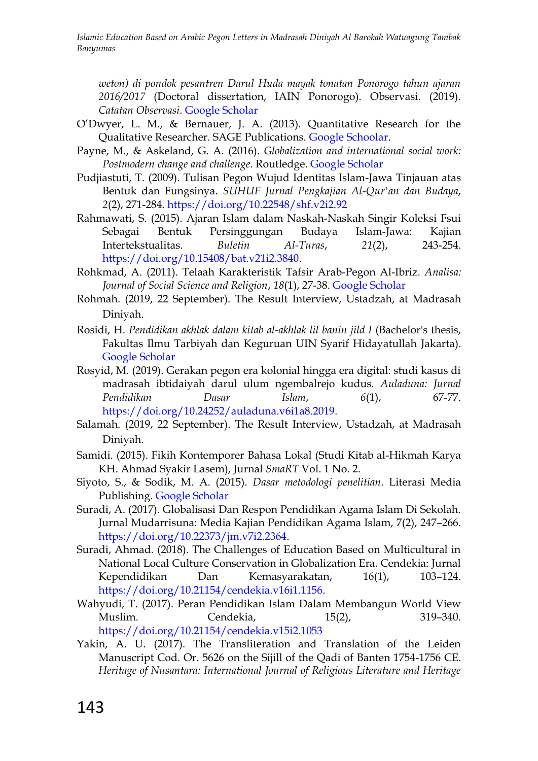*weton) di pondok pesantren Darul Huda mayak tonatan Ponorogo tahun ajaran 2016/2017* (Doctoral dissertation, IAIN Ponorogo). Observasi. (2019). *Catatan Observasi*. [Google Scholar](https://scholar.google.com/scholar?hl=en&as_sdt=0%2C5&as_ylo=2015&q=IMPLEMENTASI+PENGAJIAN+WETON+%28BANDONGAN%29+DALAM+MENINGKATKAN+KEMAMPUAN+MENULIS+ARAB+PEGON+BAGI+SANTRI+PUTRI+KELAS+I+%28PENGAJIAN+WETON%29+DI+PONDOK+PESANTREN+DARUL+HUDA+MAYAK+TONATAN+PONOROGO+TAHUN+AJARAN+&btnG=)

- O"Dwyer, L. M., & Bernauer, J. A. (2013). Quantitative Research for the Qualitative Researcher. SAGE Publications. [Google Schoolar.](https://books.google.co.id/books?hl=en&lr=&id=YUEXBAAAQBAJ&oi=fnd&pg=PP1&dq=O%E2%80%99Dwyer,+L.+M.,+%26+Bernauer,+J.+A.+(2013).+Quantitative+Research+for+the+Qualitative+Researcher.+SAGE+Publications.&ots=zzLvE7LG-G&sig=dGXE-RLxqh6Jhiw9VFP21yxKbwE&redir_esc=y#v=onepage&q=O%E2%80%99Dwyer%2C%20L.%20M.%2C%20%26%20Bernauer%2C%20J.%20A.%20(2013).%20Quantitative%20Research%20for%20the%20Qualitative%20Researcher.%20SAGE%20Publications.&f=false)
- Payne, M., & Askeland, G. A. (2016). *Globalization and international social work: Postmodern change and challenge*. Routledge. [Google Scholar](https://www.routledge.com/Globalization-and-International-Social-Work-Postmodern-Change-and-Challenge/Payne-Askeland/p/book/9781138245747)
- Pudjiastuti, T. (2009). Tulisan Pegon Wujud Identitas Islam-Jawa Tinjauan atas Bentuk dan Fungsinya. *SUHUF Jurnal Pengkajian Al-Qur'an dan Budaya*, *2*(2), 271-284. <https://doi.org/10.22548/shf.v2i2.92>
- Rahmawati, S. (2015). Ajaran Islam dalam Naskah-Naskah Singir Koleksi Fsui Sebagai Bentuk Persinggungan Budaya Islam-Jawa: Kajian Intertekstualitas. *Buletin Al-Turas*, *21*(2), 243-254. [https://doi.org/10.15408/bat.v21i2.3840.](https://doi.org/10.15408/bat.v21i2.3840)
- Rohkmad, A. (2011). Telaah Karakteristik Tafsir Arab-Pegon Al-Ibriz. *Analisa: Journal of Social Science and Religion*, *18*(1), 27-38. [Google Scholar](https://scholar.google.co.id/scholar?hl=id&as_sdt=0%2C5&q=Rokhmad%2C+Abu+%282011%29.+Telaah+Karakteristik+Tafsir+Arab+Pegon+Al-Ibriz%2C+Jurnal+Analisa+Vol.+18.+No.+1&btnG=)
- Rohmah. (2019, 22 September). The Result Interview, Ustadzah, at Madrasah Diniyah.
- Rosidi, H. *Pendidikan akhlak dalam kitab al-akhlak lil banin jild I* (Bachelor's thesis, Fakultas Ilmu Tarbiyah dan Keguruan UIN Syarif Hidayatullah Jakarta). [Google Scholar](http://repository.uinjkt.ac.id/dspace/handle/123456789/45317)
- Rosyid, M. (2019). Gerakan pegon era kolonial hingga era digital: studi kasus di madrasah ibtidaiyah darul ulum ngembalrejo kudus. *Auladuna: Jurnal Pendidikan Dasar Islam*, *6*(1), 67-77. [https://doi.org/10.24252/auladuna.v6i1a8.2019.](https://doi.org/10.24252/auladuna.v6i1a8.2019)
- Salamah. (2019, 22 September). The Result Interview, Ustadzah, at Madrasah Diniyah.
- Samidi. (2015). Fikih Kontemporer Bahasa Lokal (Studi Kitab al-Hikmah Karya KH. Ahmad Syakir Lasem), Jurnal *SmaRT* Vol. 1 No. 2.
- Siyoto, S., & Sodik, M. A. (2015). *Dasar metodologi penelitian*. Literasi Media Publishing. [Google Scholar](https://books.google.co.id/books?hl=id&lr=&id=QPhFDwAAQBAJ&oi=fnd&pg=PR3&dq=METODOLOGI+PENELITIAN+&ots=Ib2qpJWb4i&sig=J63B_AI8HprEB-hup6-CYFNQCIk&redir_esc=y#v=onepage&q=METODOLOGI%20PENELITIAN&f=false)
- Suradi, A. (2017). Globalisasi Dan Respon Pendidikan Agama Islam Di Sekolah. Jurnal Mudarrisuna: Media Kajian Pendidikan Agama Islam, 7(2), 247–266. [https://doi.org/10.22373/jm.v7i2.2364.](https://doi.org/10.22373/jm.v7i2.2364)
- Suradi, Ahmad. (2018). The Challenges of Education Based on Multicultural in National Local Culture Conservation in Globalization Era. Cendekia: Jurnal Kependidikan Dan Kemasyarakatan, 16(1), 103–124. [https://doi.org/10.21154/cendekia.v16i1.1156.](https://doi.org/10.21154/cendekia.v16i1.1156)
- Wahyudi, T. (2017). Peran Pendidikan Islam Dalam Membangun World View Muslim. Cendekia, 15(2), 319–340. <https://doi.org/10.21154/cendekia.v15i2.1053>
- Yakin, A. U. (2017). The Transliteration and Translation of the Leiden Manuscript Cod. Or. 5626 on the Sijill of the Qadi of Banten 1754-1756 CE. *Heritage of Nusantara: International Journal of Religious Literature and Heritage*